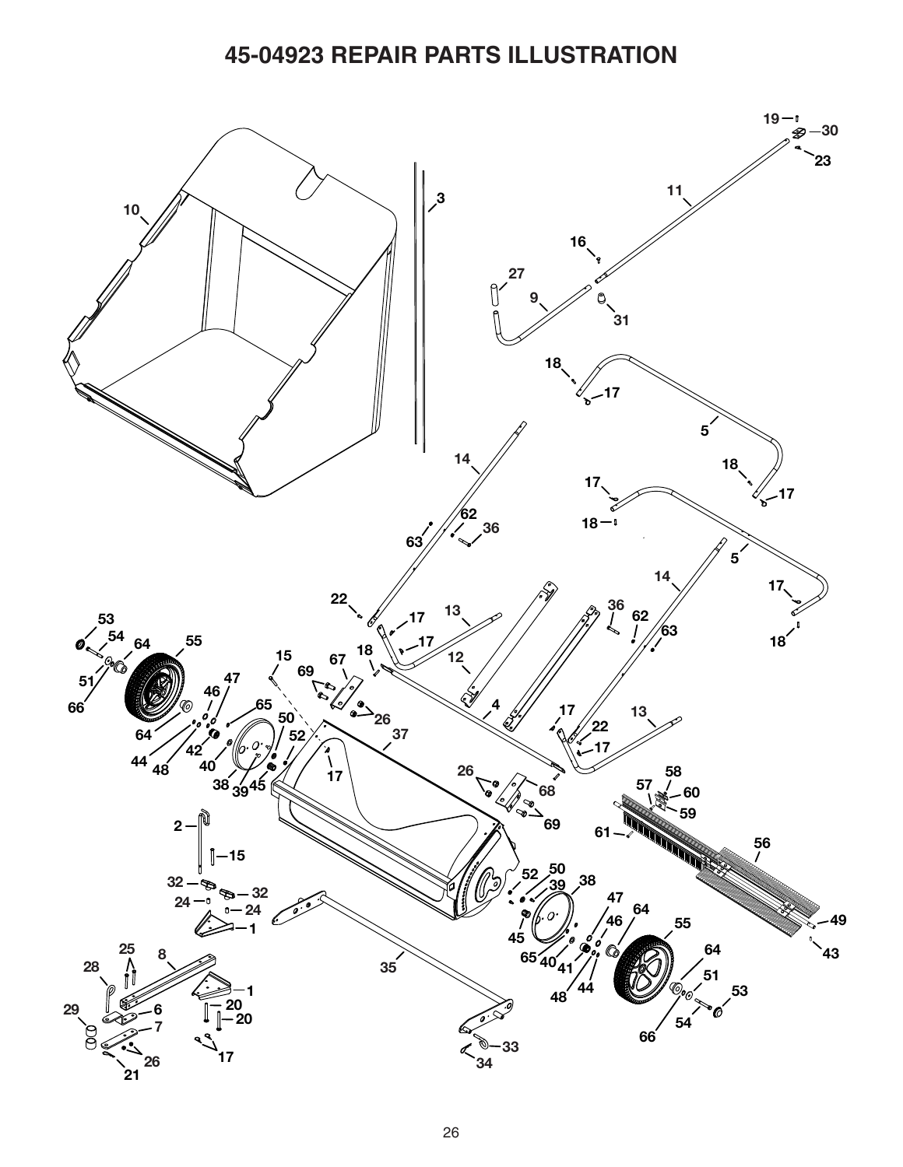## **45-04923 REPAIR PARTS ILLUSTRATION**